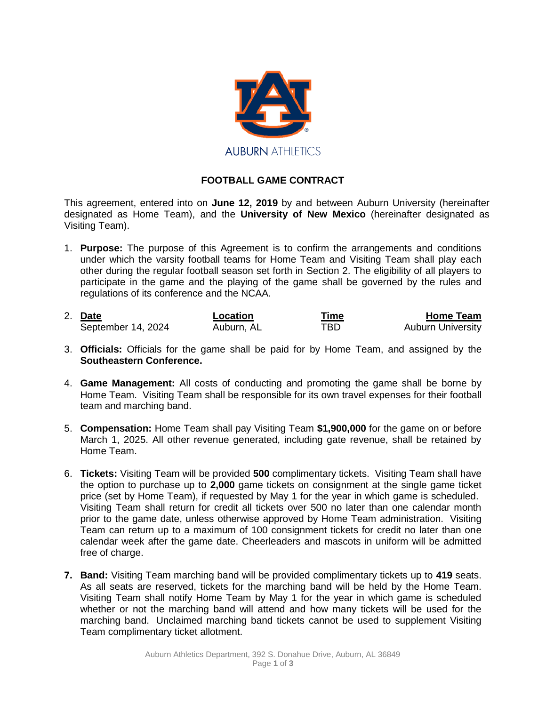

## **FOOTBALL GAME CONTRACT**

This agreement, entered into on **June 12, 2019** by and between Auburn University (hereinafter designated as Home Team), and the **University of New Mexico** (hereinafter designated as Visiting Team).

- 1. **Purpose:** The purpose of this Agreement is to confirm the arrangements and conditions under which the varsity football teams for Home Team and Visiting Team shall play each other during the regular football season set forth in Section 2. The eligibility of all players to participate in the game and the playing of the game shall be governed by the rules and regulations of its conference and the NCAA.
- 2. **Date Location Lime Time Home Team**<br>
September 14, 2024 Auburn, AL **TBD** Auburn University September 14, 2024
- 3. **Officials:** Officials for the game shall be paid for by Home Team, and assigned by the **Southeastern Conference.**
- 4. **Game Management:** All costs of conducting and promoting the game shall be borne by Home Team. Visiting Team shall be responsible for its own travel expenses for their football team and marching band.
- 5. **Compensation:** Home Team shall pay Visiting Team **\$1,900,000** for the game on or before March 1, 2025. All other revenue generated, including gate revenue, shall be retained by Home Team.
- 6. **Tickets:** Visiting Team will be provided **500** complimentary tickets. Visiting Team shall have the option to purchase up to **2,000** game tickets on consignment at the single game ticket price (set by Home Team), if requested by May 1 for the year in which game is scheduled. Visiting Team shall return for credit all tickets over 500 no later than one calendar month prior to the game date, unless otherwise approved by Home Team administration. Visiting Team can return up to a maximum of 100 consignment tickets for credit no later than one calendar week after the game date. Cheerleaders and mascots in uniform will be admitted free of charge.
- **7. Band:** Visiting Team marching band will be provided complimentary tickets up to **419** seats. As all seats are reserved, tickets for the marching band will be held by the Home Team. Visiting Team shall notify Home Team by May 1 for the year in which game is scheduled whether or not the marching band will attend and how many tickets will be used for the marching band. Unclaimed marching band tickets cannot be used to supplement Visiting Team complimentary ticket allotment.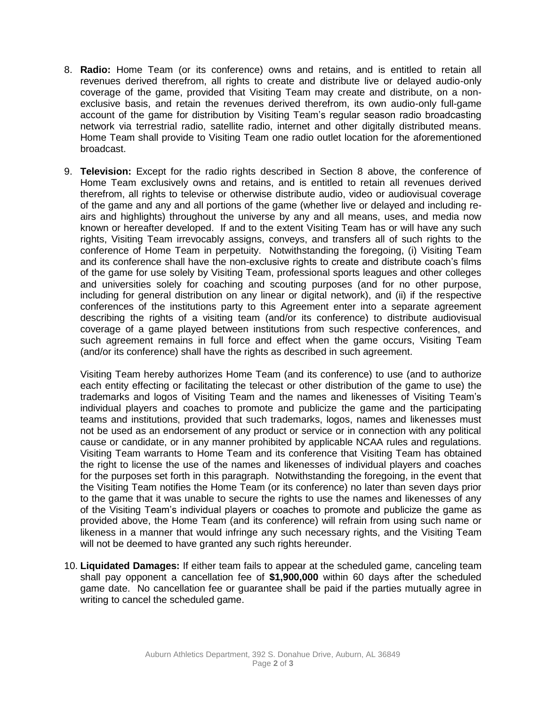- 8. **Radio:** Home Team (or its conference) owns and retains, and is entitled to retain all revenues derived therefrom, all rights to create and distribute live or delayed audio-only coverage of the game, provided that Visiting Team may create and distribute, on a nonexclusive basis, and retain the revenues derived therefrom, its own audio-only full-game account of the game for distribution by Visiting Team's regular season radio broadcasting network via terrestrial radio, satellite radio, internet and other digitally distributed means. Home Team shall provide to Visiting Team one radio outlet location for the aforementioned broadcast.
- 9. **Television:** Except for the radio rights described in Section 8 above, the conference of Home Team exclusively owns and retains, and is entitled to retain all revenues derived therefrom, all rights to televise or otherwise distribute audio, video or audiovisual coverage of the game and any and all portions of the game (whether live or delayed and including reairs and highlights) throughout the universe by any and all means, uses, and media now known or hereafter developed. If and to the extent Visiting Team has or will have any such rights, Visiting Team irrevocably assigns, conveys, and transfers all of such rights to the conference of Home Team in perpetuity. Notwithstanding the foregoing, (i) Visiting Team and its conference shall have the non-exclusive rights to create and distribute coach's films of the game for use solely by Visiting Team, professional sports leagues and other colleges and universities solely for coaching and scouting purposes (and for no other purpose, including for general distribution on any linear or digital network), and (ii) if the respective conferences of the institutions party to this Agreement enter into a separate agreement describing the rights of a visiting team (and/or its conference) to distribute audiovisual coverage of a game played between institutions from such respective conferences, and such agreement remains in full force and effect when the game occurs, Visiting Team (and/or its conference) shall have the rights as described in such agreement.

Visiting Team hereby authorizes Home Team (and its conference) to use (and to authorize each entity effecting or facilitating the telecast or other distribution of the game to use) the trademarks and logos of Visiting Team and the names and likenesses of Visiting Team's individual players and coaches to promote and publicize the game and the participating teams and institutions, provided that such trademarks, logos, names and likenesses must not be used as an endorsement of any product or service or in connection with any political cause or candidate, or in any manner prohibited by applicable NCAA rules and regulations. Visiting Team warrants to Home Team and its conference that Visiting Team has obtained the right to license the use of the names and likenesses of individual players and coaches for the purposes set forth in this paragraph. Notwithstanding the foregoing, in the event that the Visiting Team notifies the Home Team (or its conference) no later than seven days prior to the game that it was unable to secure the rights to use the names and likenesses of any of the Visiting Team's individual players or coaches to promote and publicize the game as provided above, the Home Team (and its conference) will refrain from using such name or likeness in a manner that would infringe any such necessary rights, and the Visiting Team will not be deemed to have granted any such rights hereunder.

10. **Liquidated Damages:** If either team fails to appear at the scheduled game, canceling team shall pay opponent a cancellation fee of **\$1,900,000** within 60 days after the scheduled game date. No cancellation fee or guarantee shall be paid if the parties mutually agree in writing to cancel the scheduled game.